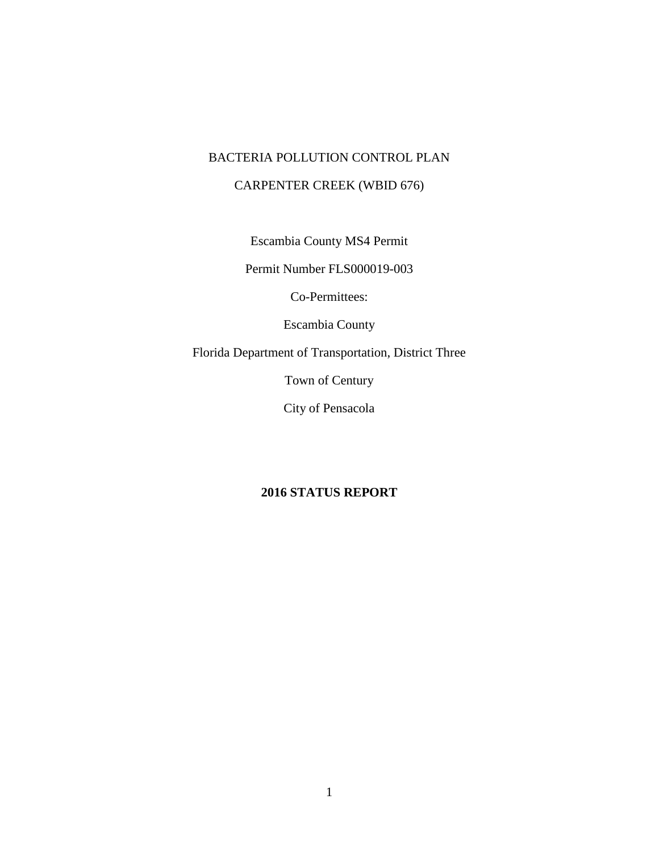### BACTERIA POLLUTION CONTROL PLAN

### CARPENTER CREEK (WBID 676)

Escambia County MS4 Permit

Permit Number FLS000019-003

Co-Permittees:

Escambia County

Florida Department of Transportation, District Three

Town of Century

City of Pensacola

### **2016 STATUS REPORT**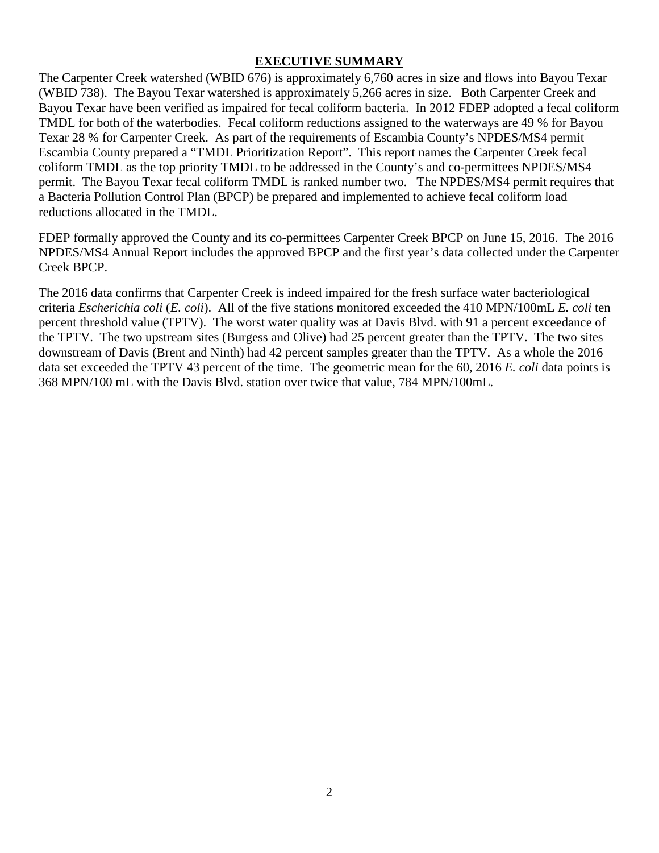#### **EXECUTIVE SUMMARY**

The Carpenter Creek watershed (WBID 676) is approximately 6,760 acres in size and flows into Bayou Texar (WBID 738). The Bayou Texar watershed is approximately 5,266 acres in size. Both Carpenter Creek and Bayou Texar have been verified as impaired for fecal coliform bacteria. In 2012 FDEP adopted a fecal coliform TMDL for both of the waterbodies. Fecal coliform reductions assigned to the waterways are 49 % for Bayou Texar 28 % for Carpenter Creek. As part of the requirements of Escambia County's NPDES/MS4 permit Escambia County prepared a "TMDL Prioritization Report". This report names the Carpenter Creek fecal coliform TMDL as the top priority TMDL to be addressed in the County's and co-permittees NPDES/MS4 permit. The Bayou Texar fecal coliform TMDL is ranked number two. The NPDES/MS4 permit requires that a Bacteria Pollution Control Plan (BPCP) be prepared and implemented to achieve fecal coliform load reductions allocated in the TMDL.

FDEP formally approved the County and its co-permittees Carpenter Creek BPCP on June 15, 2016. The 2016 NPDES/MS4 Annual Report includes the approved BPCP and the first year's data collected under the Carpenter Creek BPCP.

The 2016 data confirms that Carpenter Creek is indeed impaired for the fresh surface water bacteriological criteria *Escherichia coli* (*E. coli*). All of the five stations monitored exceeded the 410 MPN/100mL *E. coli* ten percent threshold value (TPTV). The worst water quality was at Davis Blvd. with 91 a percent exceedance of the TPTV. The two upstream sites (Burgess and Olive) had 25 percent greater than the TPTV. The two sites downstream of Davis (Brent and Ninth) had 42 percent samples greater than the TPTV. As a whole the 2016 data set exceeded the TPTV 43 percent of the time. The geometric mean for the 60, 2016 *E. coli* data points is 368 MPN/100 mL with the Davis Blvd. station over twice that value, 784 MPN/100mL.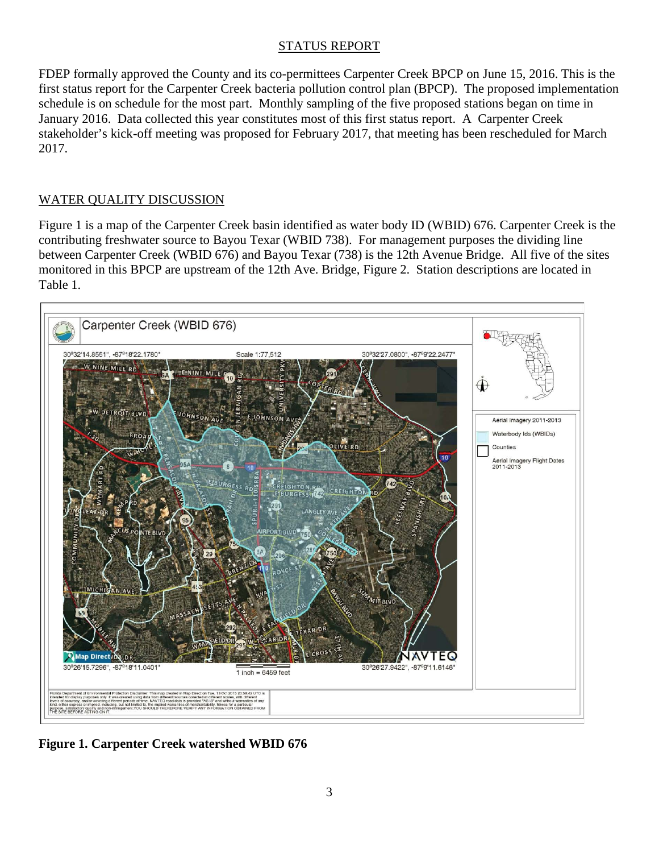#### STATUS REPORT

FDEP formally approved the County and its co-permittees Carpenter Creek BPCP on June 15, 2016. This is the first status report for the Carpenter Creek bacteria pollution control plan (BPCP). The proposed implementation schedule is on schedule for the most part. Monthly sampling of the five proposed stations began on time in January 2016. Data collected this year constitutes most of this first status report. A Carpenter Creek stakeholder's kick-off meeting was proposed for February 2017, that meeting has been rescheduled for March 2017.

### WATER QUALITY DISCUSSION

Figure 1 is a map of the Carpenter Creek basin identified as water body ID (WBID) 676. Carpenter Creek is the contributing freshwater source to Bayou Texar (WBID 738). For management purposes the dividing line between Carpenter Creek (WBID 676) and Bayou Texar (738) is the 12th Avenue Bridge. All five of the sites monitored in this BPCP are upstream of the 12th Ave. Bridge, Figure 2. Station descriptions are located in Table 1.



**Figure 1. Carpenter Creek watershed WBID 676**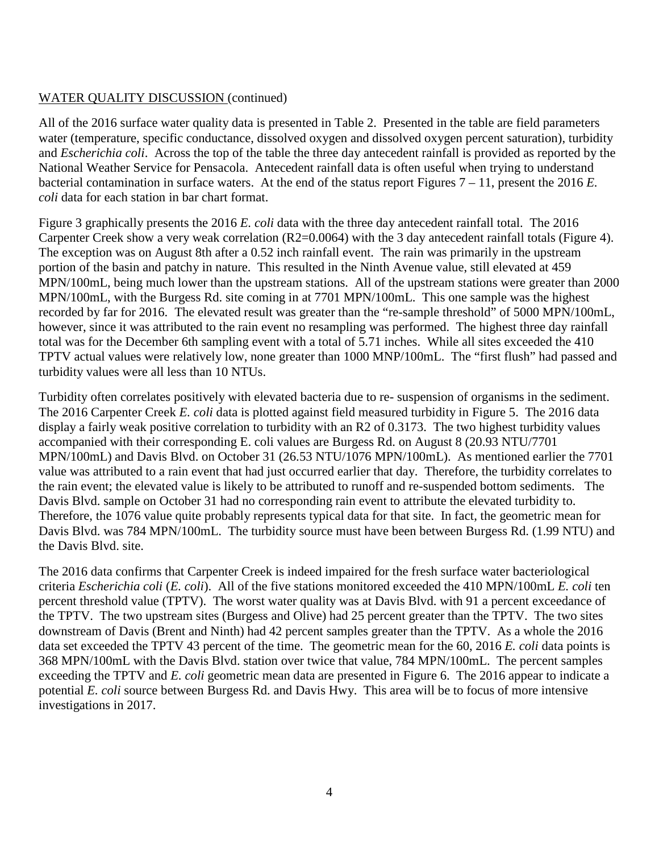### WATER QUALITY DISCUSSION (continued)

All of the 2016 surface water quality data is presented in Table 2. Presented in the table are field parameters water (temperature, specific conductance, dissolved oxygen and dissolved oxygen percent saturation), turbidity and *Escherichia coli*. Across the top of the table the three day antecedent rainfall is provided as reported by the National Weather Service for Pensacola. Antecedent rainfall data is often useful when trying to understand bacterial contamination in surface waters. At the end of the status report Figures 7 – 11, present the 2016 *E. coli* data for each station in bar chart format.

Figure 3 graphically presents the 2016 *E. coli* data with the three day antecedent rainfall total. The 2016 Carpenter Creek show a very weak correlation (R2=0.0064) with the 3 day antecedent rainfall totals (Figure 4). The exception was on August 8th after a 0.52 inch rainfall event. The rain was primarily in the upstream portion of the basin and patchy in nature. This resulted in the Ninth Avenue value, still elevated at 459 MPN/100mL, being much lower than the upstream stations. All of the upstream stations were greater than 2000 MPN/100mL, with the Burgess Rd. site coming in at 7701 MPN/100mL. This one sample was the highest recorded by far for 2016. The elevated result was greater than the "re-sample threshold" of 5000 MPN/100mL, however, since it was attributed to the rain event no resampling was performed. The highest three day rainfall total was for the December 6th sampling event with a total of 5.71 inches. While all sites exceeded the 410 TPTV actual values were relatively low, none greater than 1000 MNP/100mL. The "first flush" had passed and turbidity values were all less than 10 NTUs.

Turbidity often correlates positively with elevated bacteria due to re- suspension of organisms in the sediment. The 2016 Carpenter Creek *E. coli* data is plotted against field measured turbidity in Figure 5. The 2016 data display a fairly weak positive correlation to turbidity with an R2 of 0.3173. The two highest turbidity values accompanied with their corresponding E. coli values are Burgess Rd. on August 8 (20.93 NTU/7701 MPN/100mL) and Davis Blvd. on October 31 (26.53 NTU/1076 MPN/100mL). As mentioned earlier the 7701 value was attributed to a rain event that had just occurred earlier that day. Therefore, the turbidity correlates to the rain event; the elevated value is likely to be attributed to runoff and re-suspended bottom sediments. The Davis Blvd. sample on October 31 had no corresponding rain event to attribute the elevated turbidity to. Therefore, the 1076 value quite probably represents typical data for that site. In fact, the geometric mean for Davis Blvd. was 784 MPN/100mL. The turbidity source must have been between Burgess Rd. (1.99 NTU) and the Davis Blvd. site.

The 2016 data confirms that Carpenter Creek is indeed impaired for the fresh surface water bacteriological criteria *Escherichia coli* (*E. coli*). All of the five stations monitored exceeded the 410 MPN/100mL *E. coli* ten percent threshold value (TPTV). The worst water quality was at Davis Blvd. with 91 a percent exceedance of the TPTV. The two upstream sites (Burgess and Olive) had 25 percent greater than the TPTV. The two sites downstream of Davis (Brent and Ninth) had 42 percent samples greater than the TPTV. As a whole the 2016 data set exceeded the TPTV 43 percent of the time. The geometric mean for the 60, 2016 *E. coli* data points is 368 MPN/100mL with the Davis Blvd. station over twice that value, 784 MPN/100mL. The percent samples exceeding the TPTV and *E. coli* geometric mean data are presented in Figure 6. The 2016 appear to indicate a potential *E. coli* source between Burgess Rd. and Davis Hwy. This area will be to focus of more intensive investigations in 2017.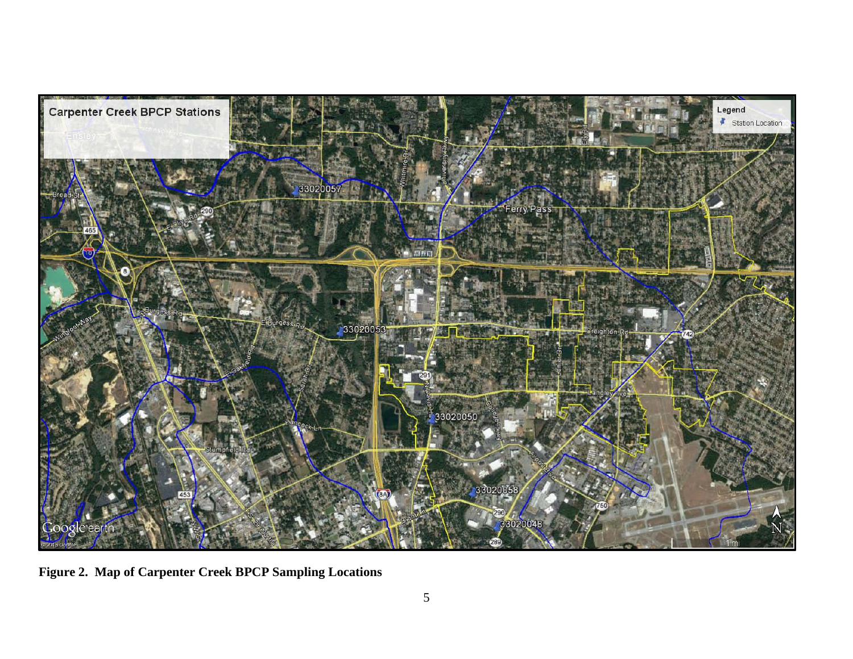

**Figure 2. Map of Carpenter Creek BPCP Sampling Locations**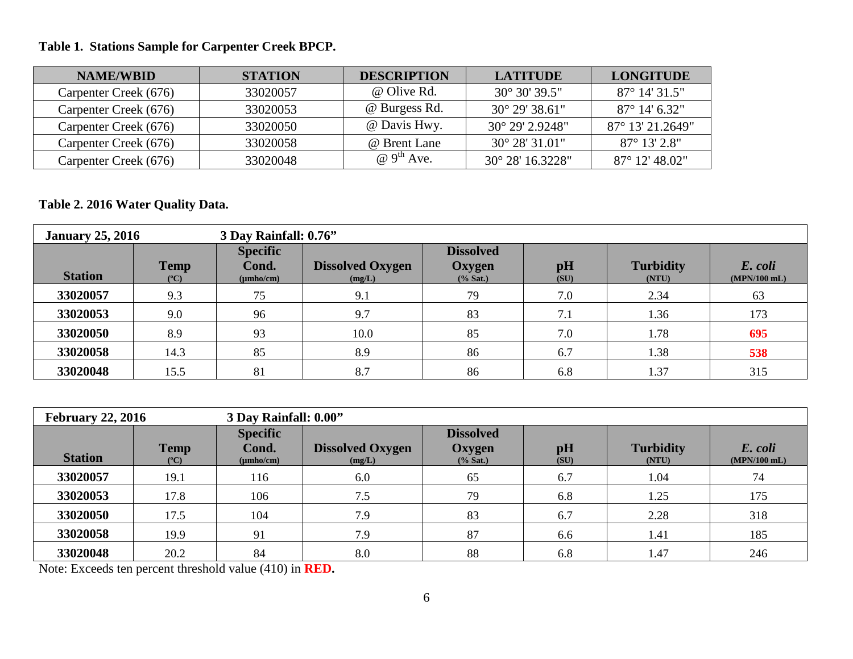# **Table 1. Stations Sample for Carpenter Creek BPCP.**

| <b>NAME/WBID</b>      | <b>STATION</b> | <b>DESCRIPTION</b>            | <b>LATITUDE</b>          | <b>LONGITUDE</b>          |
|-----------------------|----------------|-------------------------------|--------------------------|---------------------------|
| Carpenter Creek (676) | 33020057       | @ Olive Rd.                   | $30^{\circ} 30' 39.5''$  | $87^{\circ}$ 14' 31.5"    |
| Carpenter Creek (676) | 33020053       | @ Burgess Rd.                 | $30^{\circ}$ 29' 38.61"  | $87^{\circ}$ 14' 6.32"    |
| Carpenter Creek (676) | 33020050       | @ Davis Hwy.                  | $30^{\circ}$ 29' 2.9248" | $87^{\circ}$ 13' 21.2649" |
| Carpenter Creek (676) | 33020058       | @ Brent Lane                  | $30^{\circ}$ 28' 31.01"  | $87^\circ 13' 2.8''$      |
| Carpenter Creek (676) | 33020048       | $\omega$ 9 <sup>th</sup> Ave. | 30° 28′ 16.3228″         | 87° 12′ 48.02″            |

### **Table 2. 2016 Water Quality Data.**

| <b>January 25, 2016</b> | 3 Day Rainfall: 0.76"        |                                            |                                   |                                         |            |                           |                           |
|-------------------------|------------------------------|--------------------------------------------|-----------------------------------|-----------------------------------------|------------|---------------------------|---------------------------|
| <b>Station</b>          | <b>Temp</b><br>$(^{\circ}C)$ | <b>Specific</b><br>Cond.<br>$(\mu mho/cm)$ | <b>Dissolved Oxygen</b><br>(mg/L) | <b>Dissolved</b><br>Oxygen<br>$%$ Sat.) | pH<br>(SU) | <b>Turbidity</b><br>(NTU) | E. coli<br>$(MPN/100$ mL) |
| 33020057                | 9.3                          | 75                                         | 9.1                               | 79                                      | 7.0        | 2.34                      | 63                        |
| 33020053                | 9.0                          | 96                                         | 9.7                               | 83                                      | 7.1        | 1.36                      | 173                       |
| 33020050                | 8.9                          | 93                                         | 10.0                              | 85                                      | 7.0        | 1.78                      | 695                       |
| 33020058                | 14.3                         | 85                                         | 8.9                               | 86                                      | 6.7        | 1.38                      | 538                       |
| 33020048                | 15.5                         | 81                                         | 8.7                               | 86                                      | 6.8        | 1.37                      | 315                       |

| 3 Day Rainfall: 0.00"<br><b>February 22, 2016</b> |                              |                                            |                                   |                                           |            |                           |                           |
|---------------------------------------------------|------------------------------|--------------------------------------------|-----------------------------------|-------------------------------------------|------------|---------------------------|---------------------------|
| <b>Station</b>                                    | <b>Temp</b><br>$(^{\circ}C)$ | <b>Specific</b><br>Cond.<br>$(\mu mho/cm)$ | <b>Dissolved Oxygen</b><br>(mg/L) | <b>Dissolved</b><br>Oxygen<br>$(\%$ Sat.) | pH<br>(SU) | <b>Turbidity</b><br>(NTU) | E. coli<br>$(MPN/100$ mL) |
| 33020057                                          | 19.1                         | 116                                        | 6.0                               | 65                                        | 6.7        | 1.04                      | 74                        |
| 33020053                                          | 17.8                         | 106                                        | 7.5                               | 79                                        | 6.8        | 1.25                      | 175                       |
| 33020050                                          | 17.5                         | 104                                        | 7.9                               | 83                                        | 6.7        | 2.28                      | 318                       |
| 33020058                                          | 19.9                         | 91                                         | 7.9                               | 87                                        | 6.6        | 1.41                      | 185                       |
| 33020048                                          | 20.2                         | 84                                         | 8.0                               | 88                                        | 6.8        | 1.47                      | 246                       |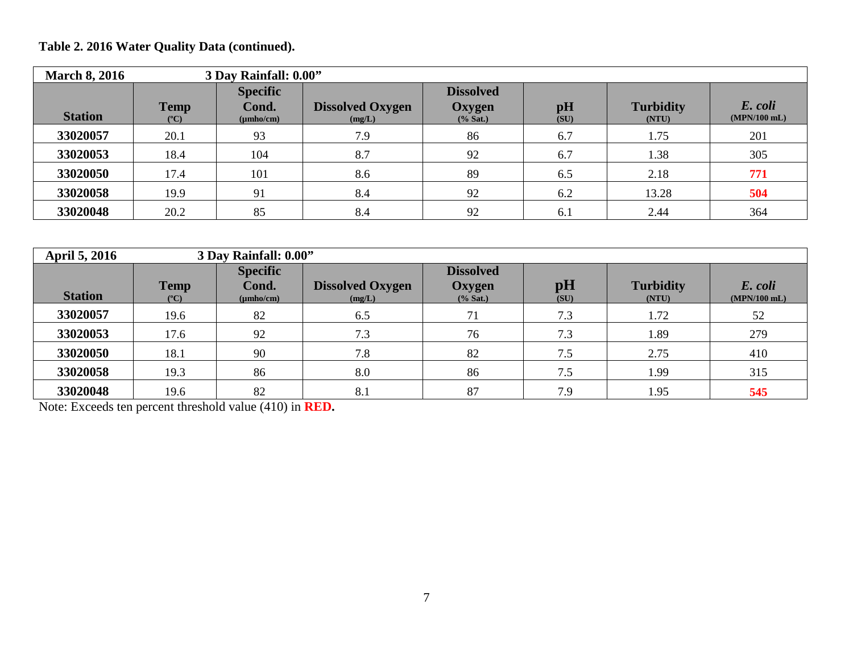| <b>March 8, 2016</b> |                              | 3 Day Rainfall: 0.00"                      |                                   |                                         |                        |                           |                           |  |  |  |  |
|----------------------|------------------------------|--------------------------------------------|-----------------------------------|-----------------------------------------|------------------------|---------------------------|---------------------------|--|--|--|--|
| <b>Station</b>       | <b>Temp</b><br>$(^{\circ}C)$ | <b>Specific</b><br>Cond.<br>$(\mu mho/cm)$ | <b>Dissolved Oxygen</b><br>(mg/L) | <b>Dissolved</b><br>Oxygen<br>$%$ Sat.) | $\mathbf{p}$ H<br>(SU) | <b>Turbidity</b><br>(NTU) | E. coli<br>$(MPN/100$ mL) |  |  |  |  |
| 33020057             | 20.1                         | 93                                         | 7.9                               | 86                                      | 6.7                    | 1.75                      | 201                       |  |  |  |  |
| 33020053             | 18.4                         | 104                                        | 8.7                               | 92                                      | 6.7                    | 1.38                      | 305                       |  |  |  |  |
| 33020050             | 17.4                         | 101                                        | 8.6                               | 89                                      | 6.5                    | 2.18                      | 771                       |  |  |  |  |
| 33020058             | 19.9                         | 91                                         | 8.4                               | 92                                      | 6.2                    | 13.28                     | 504                       |  |  |  |  |
| 33020048             | 20.2                         | 85                                         | 8.4                               | 92                                      | 6.1                    | 2.44                      | 364                       |  |  |  |  |

| <b>April 5, 2016</b> |                              | 3 Day Rainfall: 0.00"                      |                                   |                                           |            |                           |                           |  |  |
|----------------------|------------------------------|--------------------------------------------|-----------------------------------|-------------------------------------------|------------|---------------------------|---------------------------|--|--|
| <b>Station</b>       | <b>Temp</b><br>$(^{\circ}C)$ | <b>Specific</b><br>Cond.<br>$(\mu mho/cm)$ | <b>Dissolved Oxygen</b><br>(mg/L) | <b>Dissolved</b><br>Oxygen<br>$(\%$ Sat.) | pH<br>(SU) | <b>Turbidity</b><br>(NTU) | E. coli<br>$(MPN/100$ mL) |  |  |
| 33020057             | 19.6                         | 82                                         | 6.5                               | 71                                        | 7.3        | 1.72                      | 52                        |  |  |
| 33020053             | 17.6                         | 92                                         | 7.3                               | 76                                        | 7.3        | 1.89                      | 279                       |  |  |
| 33020050             | 18.1                         | 90                                         | 7.8                               | 82                                        | 7.5        | 2.75                      | 410                       |  |  |
| 33020058             | 19.3                         | 86                                         | 8.0                               | 86                                        | 7.5        | 1.99                      | 315                       |  |  |
| 33020048             | 19.6                         | 82                                         | 8.1                               | 87                                        | 7.9        | 1.95                      | 545                       |  |  |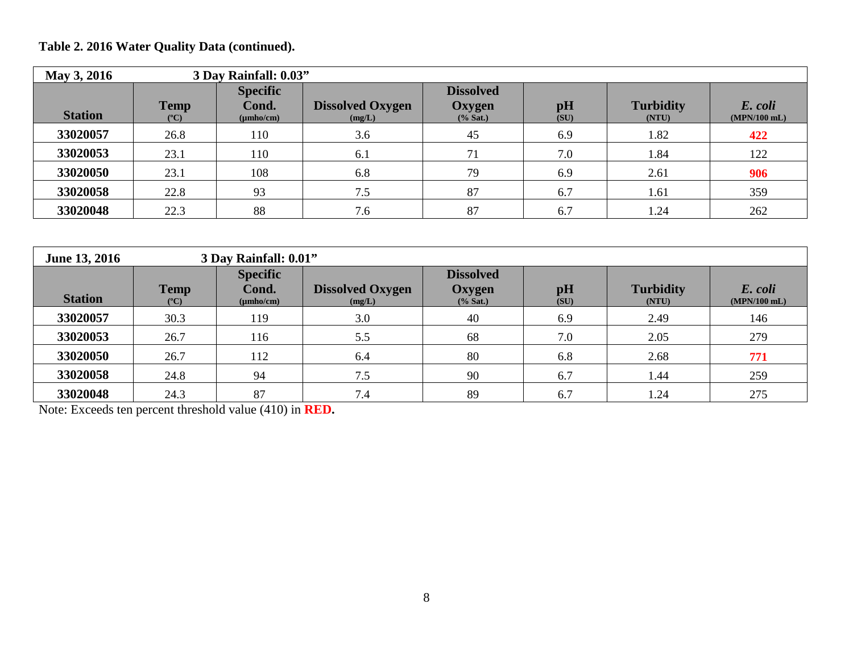| May 3, 2016    |                                |                                            | 3 Day Rainfall: 0.03"             |                                           |            |                           |                           |  |  |  |
|----------------|--------------------------------|--------------------------------------------|-----------------------------------|-------------------------------------------|------------|---------------------------|---------------------------|--|--|--|
| <b>Station</b> | <b>Temp</b><br>$({}^{\circ}C)$ | <b>Specific</b><br>Cond.<br>$(\mu mho/cm)$ | <b>Dissolved Oxygen</b><br>(mg/L) | <b>Dissolved</b><br>Oxygen<br>$(\%$ Sat.) | pH<br>(SU) | <b>Turbidity</b><br>(NTU) | E. coli<br>$(MPN/100$ mL) |  |  |  |
| 33020057       | 26.8                           | 110                                        | 3.6                               | 45                                        | 6.9        | 1.82                      | 422                       |  |  |  |
| 33020053       | 23.1                           | 110                                        | 6.1                               | 71                                        | 7.0        | 1.84                      | 122                       |  |  |  |
| 33020050       | 23.1                           | 108                                        | 6.8                               | 79                                        | 6.9        | 2.61                      | 906                       |  |  |  |
| 33020058       | 22.8                           | 93                                         | 7.5                               | 87                                        | 6.7        | 1.61                      | 359                       |  |  |  |
| 33020048       | 22.3                           | 88                                         | 7.6                               | 87                                        | 6.7        | 1.24                      | 262                       |  |  |  |

| <b>June 13, 2016</b> | 3 Day Rainfall: 0.01"          |                                            |                                   |                                           |            |                           |                           |  |  |  |
|----------------------|--------------------------------|--------------------------------------------|-----------------------------------|-------------------------------------------|------------|---------------------------|---------------------------|--|--|--|
| <b>Station</b>       | <b>Temp</b><br>$({}^{\circ}C)$ | <b>Specific</b><br>Cond.<br>$(\mu mho/cm)$ | <b>Dissolved Oxygen</b><br>(mg/L) | <b>Dissolved</b><br>Oxygen<br>$(\%$ Sat.) | pH<br>(SU) | <b>Turbidity</b><br>(NTU) | E. coli<br>$(MPN/100$ mL) |  |  |  |
| 33020057             | 30.3                           | 119                                        | 3.0                               | 40                                        | 6.9        | 2.49                      | 146                       |  |  |  |
| 33020053             | 26.7                           | 116                                        | 5.5                               | 68                                        | 7.0        | 2.05                      | 279                       |  |  |  |
| 33020050             | 26.7                           | 112                                        | 6.4                               | 80                                        | 6.8        | 2.68                      | 771                       |  |  |  |
| 33020058             | 24.8                           | 94                                         | 7.5                               | 90                                        | 6.7        | 1.44                      | 259                       |  |  |  |
| 33020048             | 24.3                           | 87                                         | 7.4                               | 89                                        | 6.7        | 1.24                      | 275                       |  |  |  |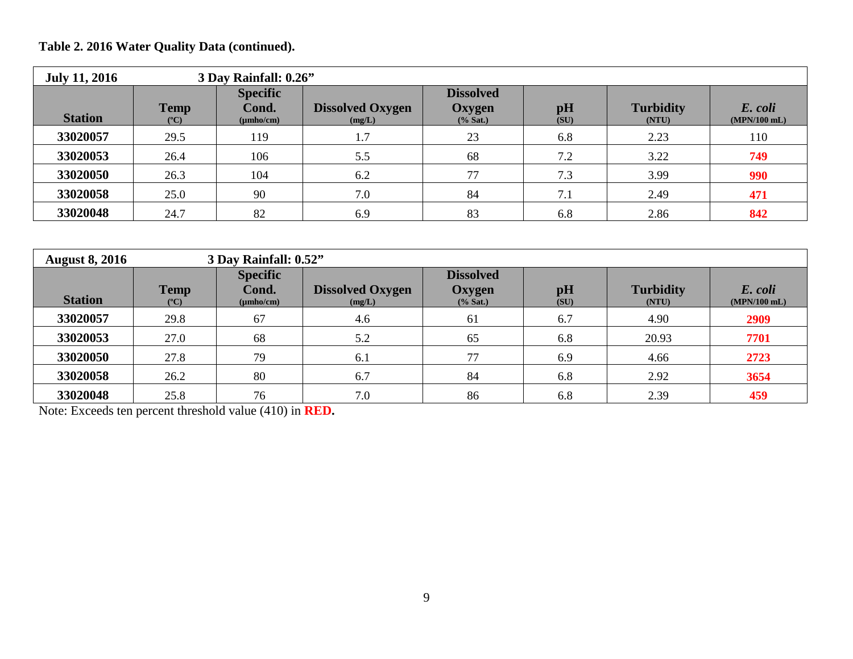| <b>July 11, 2016</b> | 3 Day Rainfall: 0.26"        |                                            |                                   |                                           |            |                           |                           |  |  |  |
|----------------------|------------------------------|--------------------------------------------|-----------------------------------|-------------------------------------------|------------|---------------------------|---------------------------|--|--|--|
| <b>Station</b>       | <b>Temp</b><br>$(^{\circ}C)$ | <b>Specific</b><br>Cond.<br>$(\mu mho/cm)$ | <b>Dissolved Oxygen</b><br>(mg/L) | <b>Dissolved</b><br>Oxygen<br>$(\%$ Sat.) | pH<br>(SU) | <b>Turbidity</b><br>(NTU) | E. coli<br>$(MPN/100$ mL) |  |  |  |
| 33020057             | 29.5                         | 119                                        | 1.7                               | 23                                        | 6.8        | 2.23                      | 110                       |  |  |  |
| 33020053             | 26.4                         | 106                                        | 5.5                               | 68                                        | 7.2        | 3.22                      | 749                       |  |  |  |
| 33020050             | 26.3                         | 104                                        | 6.2                               | 77                                        | 7.3        | 3.99                      | 990                       |  |  |  |
| 33020058             | 25.0                         | 90                                         | 7.0                               | 84                                        | 7.1        | 2.49                      | 471                       |  |  |  |
| 33020048             | 24.7                         | 82                                         | 6.9                               | 83                                        | 6.8        | 2.86                      | 842                       |  |  |  |

| <b>August 8, 2016</b> |                                | 3 Day Rainfall: 0.52"                      |                                   |                                         |            |                           |                           |  |  |  |
|-----------------------|--------------------------------|--------------------------------------------|-----------------------------------|-----------------------------------------|------------|---------------------------|---------------------------|--|--|--|
| <b>Station</b>        | <b>Temp</b><br>$({}^{\circ}C)$ | <b>Specific</b><br>Cond.<br>$(\mu mho/cm)$ | <b>Dissolved Oxygen</b><br>(mg/L) | <b>Dissolved</b><br>Oxygen<br>$%$ Sat.) | pH<br>(SU) | <b>Turbidity</b><br>(NTU) | E. coli<br>$(MPN/100$ mL) |  |  |  |
| 33020057              | 29.8                           | 67                                         | 4.6                               | 61                                      | 6.7        | 4.90                      | 2909                      |  |  |  |
| 33020053              | 27.0                           | 68                                         | 5.2                               | 65                                      | 6.8        | 20.93                     | 7701                      |  |  |  |
| 33020050              | 27.8                           | 79                                         | 6.1                               | 77                                      | 6.9        | 4.66                      | 2723                      |  |  |  |
| 33020058              | 26.2                           | 80                                         | 6.7                               | 84                                      | 6.8        | 2.92                      | 3654                      |  |  |  |
| 33020048              | 25.8                           | 76                                         | 7.0                               | 86                                      | 6.8        | 2.39                      | 459                       |  |  |  |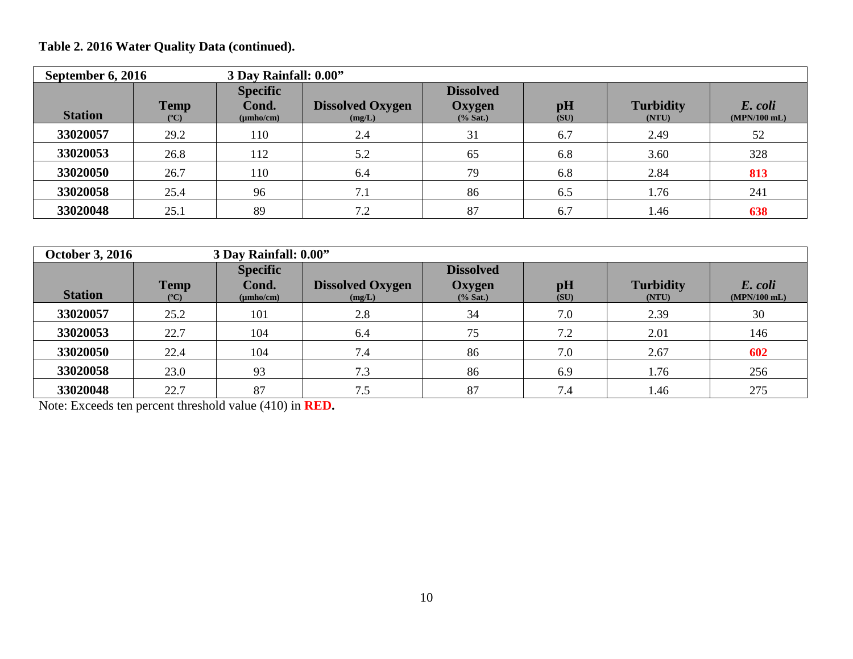| September 6, 2016 |                              | 3 Day Rainfall: 0.00"                      |                                   |                                         |                        |                           |                           |
|-------------------|------------------------------|--------------------------------------------|-----------------------------------|-----------------------------------------|------------------------|---------------------------|---------------------------|
| <b>Station</b>    | <b>Temp</b><br>$(^{\circ}C)$ | <b>Specific</b><br>Cond.<br>$(\mu mho/cm)$ | <b>Dissolved Oxygen</b><br>(mg/L) | <b>Dissolved</b><br>Oxygen<br>$%$ Sat.) | $\mathbf{p}$ H<br>(SU) | <b>Turbidity</b><br>(NTU) | E. coli<br>$(MPN/100$ mL) |
| 33020057          | 29.2                         | 110                                        | 2.4                               | 31                                      | 6.7                    | 2.49                      | 52                        |
| 33020053          | 26.8                         | 112                                        | 5.2                               | 65                                      | 6.8                    | 3.60                      | 328                       |
| 33020050          | 26.7                         | 110                                        | 6.4                               | 79                                      | 6.8                    | 2.84                      | 813                       |
| 33020058          | 25.4                         | 96                                         | 7.1                               | 86                                      | 6.5                    | 1.76                      | 241                       |
| 33020048          | 25.1                         | 89                                         | 7.2                               | 87                                      | 6.7                    | 1.46                      | 638                       |

| <b>October 3, 2016</b> |                              | 3 Day Rainfall: 0.00"                      |                                   |                                           |            |                           |                           |
|------------------------|------------------------------|--------------------------------------------|-----------------------------------|-------------------------------------------|------------|---------------------------|---------------------------|
| <b>Station</b>         | <b>Temp</b><br>$(^{\circ}C)$ | <b>Specific</b><br>Cond.<br>$(\mu mho/cm)$ | <b>Dissolved Oxygen</b><br>(mg/L) | <b>Dissolved</b><br>Oxygen<br>$(\%$ Sat.) | pH<br>(SU) | <b>Turbidity</b><br>(NTU) | E. coli<br>$(MPN/100$ mL) |
| 33020057               | 25.2                         | 101                                        | 2.8                               | 34                                        | 7.0        | 2.39                      | 30                        |
| 33020053               | 22.7                         | 104                                        | 6.4                               | 75                                        | 7.2        | 2.01                      | 146                       |
| 33020050               | 22.4                         | 104                                        | 7.4                               | 86                                        | 7.0        | 2.67                      | 602                       |
| 33020058               | 23.0                         | 93                                         | 7.3                               | 86                                        | 6.9        | 1.76                      | 256                       |
| 33020048               | 22.7                         | 87                                         | 7.5                               | 87                                        | 7.4        | 1.46                      | 275                       |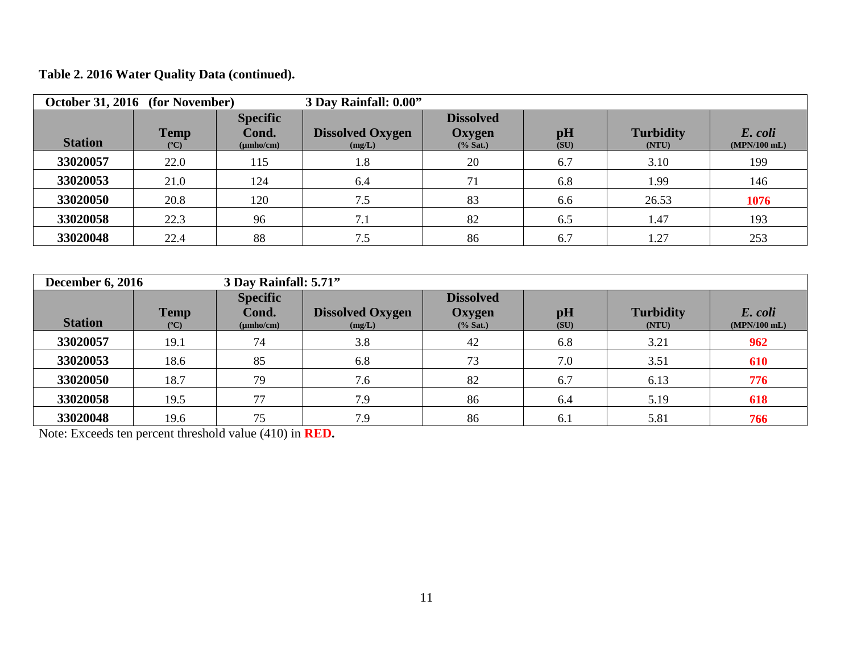| October 31, 2016 (for November) |                              |                                            | 3 Day Rainfall: 0.00"             |                                           |            |                           |                           |  |
|---------------------------------|------------------------------|--------------------------------------------|-----------------------------------|-------------------------------------------|------------|---------------------------|---------------------------|--|
| <b>Station</b>                  | <b>Temp</b><br>$(^{\circ}C)$ | <b>Specific</b><br>Cond.<br>$(\mu mho/cm)$ | <b>Dissolved Oxygen</b><br>(mg/L) | <b>Dissolved</b><br>Oxygen<br>$(\%$ Sat.) | pH<br>(SU) | <b>Turbidity</b><br>(NTU) | E. coli<br>$(MPN/100$ mL) |  |
| 33020057                        | 22.0                         | 115                                        | 1.8                               | 20                                        | 6.7        | 3.10                      | 199                       |  |
| 33020053                        | 21.0                         | 124                                        | 6.4                               | 71                                        | 6.8        | 1.99                      | 146                       |  |
| 33020050                        | 20.8                         | 120                                        | 7.5                               | 83                                        | 6.6        | 26.53                     | 1076                      |  |
| 33020058                        | 22.3                         | 96                                         | 7.1                               | 82                                        | 6.5        | 1.47                      | 193                       |  |
| 33020048                        | 22.4                         | 88                                         | 7.5                               | 86                                        | 6.7        | 1.27                      | 253                       |  |

| <b>December 6, 2016</b> |                              | 3 Day Rainfall: 5.71"                      |                                   |                                           |            |                           |                           |
|-------------------------|------------------------------|--------------------------------------------|-----------------------------------|-------------------------------------------|------------|---------------------------|---------------------------|
| <b>Station</b>          | <b>Temp</b><br>$(^{\circ}C)$ | <b>Specific</b><br>Cond.<br>$(\mu mho/cm)$ | <b>Dissolved Oxygen</b><br>(mg/L) | <b>Dissolved</b><br>Oxygen<br>$(\%$ Sat.) | pH<br>(SU) | <b>Turbidity</b><br>(NTU) | E. coli<br>$(MPN/100$ mL) |
| 33020057                | 19.1                         | 74                                         | 3.8                               | 42                                        | 6.8        | 3.21                      | 962                       |
| 33020053                | 18.6                         | 85                                         | 6.8                               | 73                                        | 7.0        | 3.51                      | 610                       |
| 33020050                | 18.7                         | 79                                         | 7.6                               | 82                                        | 6.7        | 6.13                      | 776                       |
| 33020058                | 19.5                         | 77                                         | 7.9                               | 86                                        | 6.4        | 5.19                      | 618                       |
| 33020048                | 19.6                         | 75                                         | 7.9                               | 86                                        | 6.1        | 5.81                      | 766                       |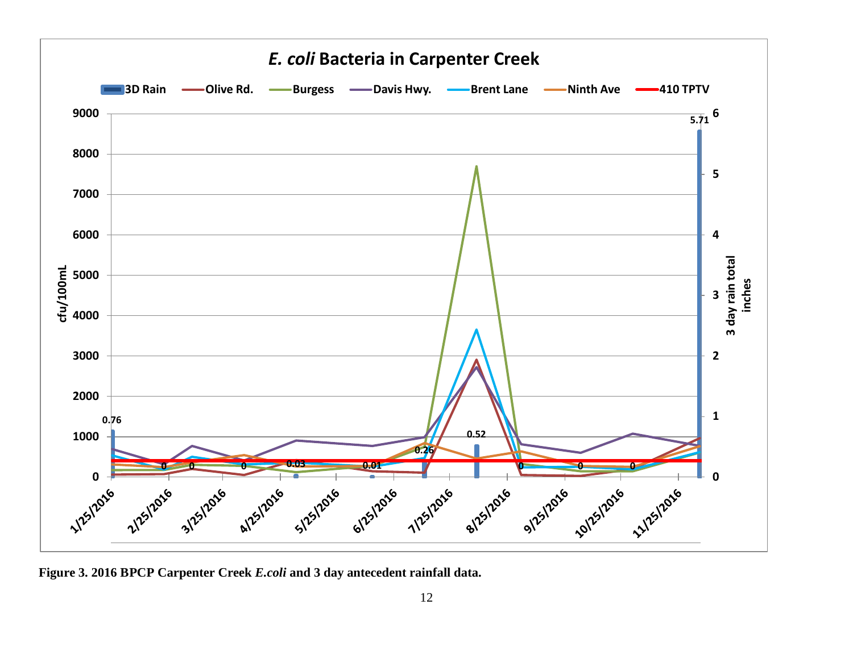

**Figure 3. 2016 BPCP Carpenter Creek** *E.coli* **and 3 day antecedent rainfall data.**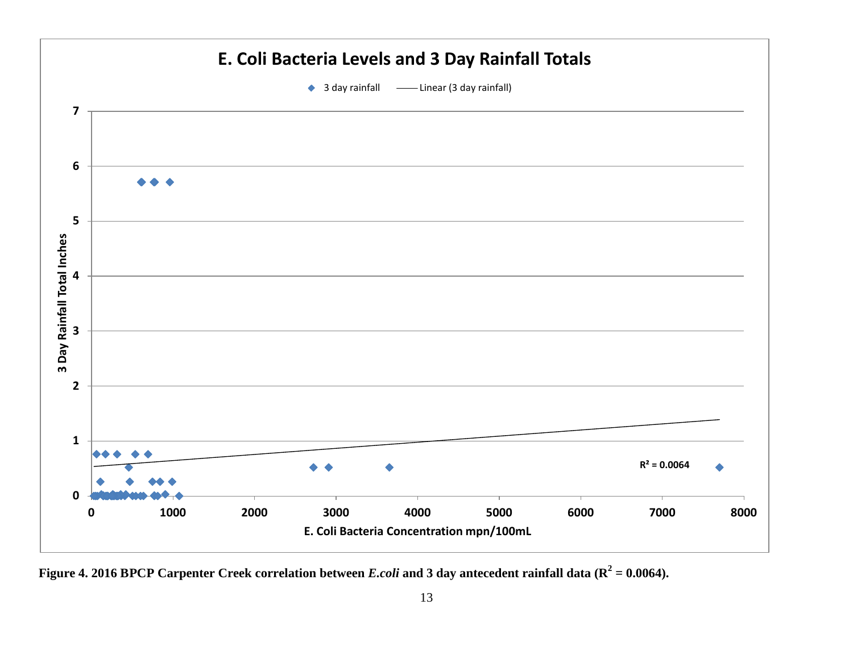

Figure 4. 2016 BPCP Carpenter Creek correlation between *E.coli* and 3 day antecedent rainfall data ( $\mathbb{R}^2 = 0.0064$ ).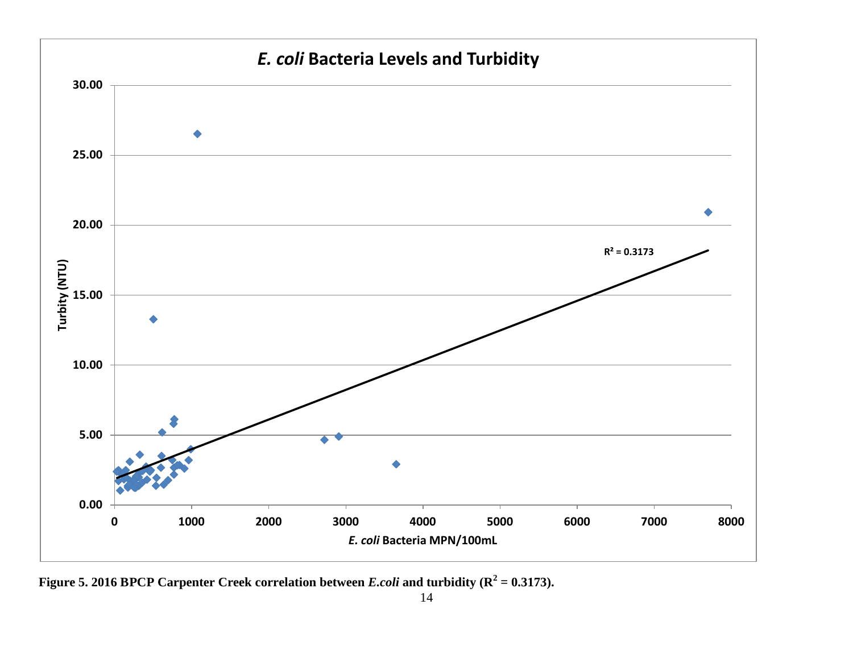

**Figure 5. 2016 BPCP Carpenter Creek correlation between** *E.coli* **and turbidity (** $\mathbf{R}^2 = 0.3173$ **).**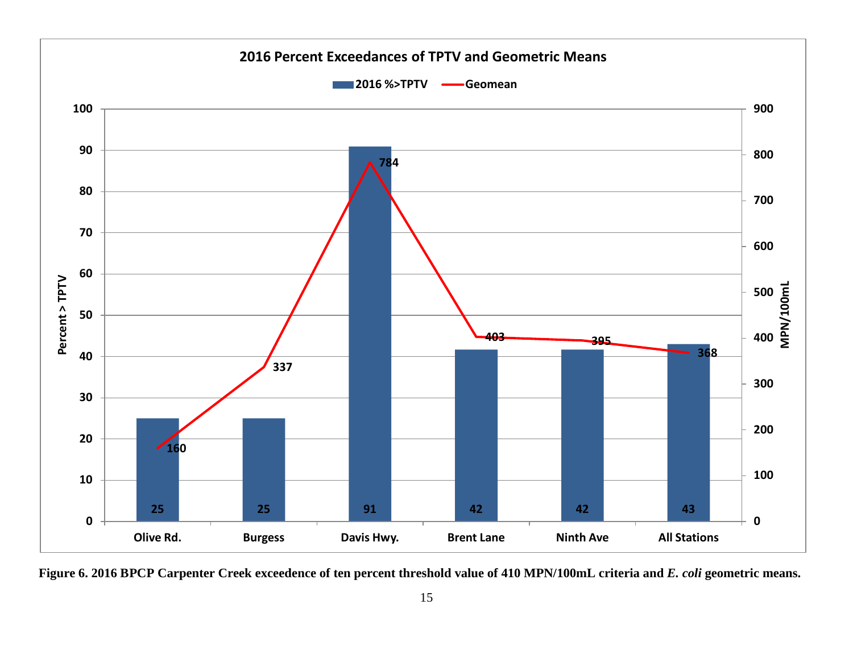

**Figure 6. 2016 BPCP Carpenter Creek exceedence of ten percent threshold value of 410 MPN/100mL criteria and** *E. coli* **geometric means.**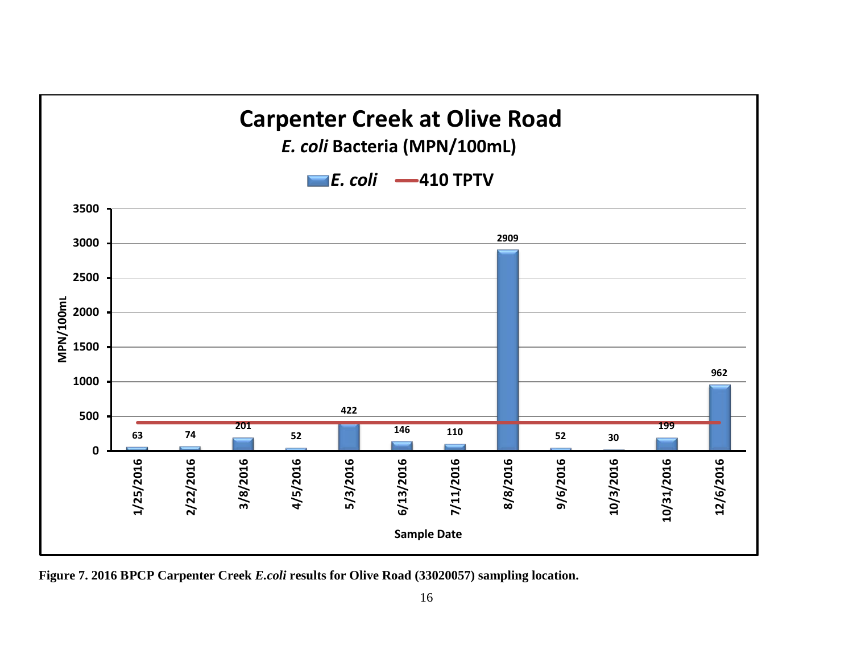

**Figure 7. 2016 BPCP Carpenter Creek** *E.coli* **results for Olive Road (33020057) sampling location.**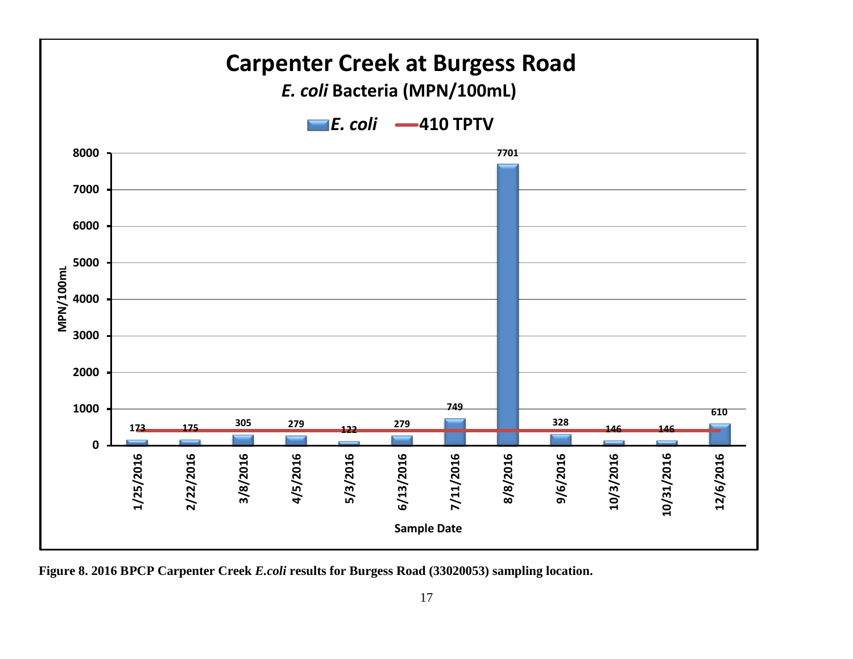

**Figure 8. 2016 BPCP Carpenter Creek** *E.coli* **results for Burgess Road (33020053) sampling location.**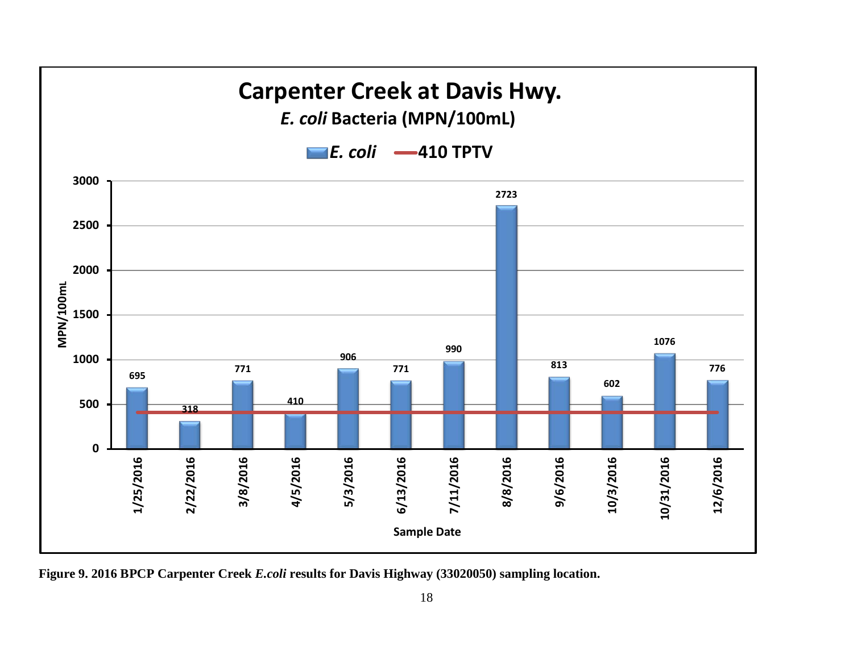

**Figure 9. 2016 BPCP Carpenter Creek** *E.coli* **results for Davis Highway (33020050) sampling location.**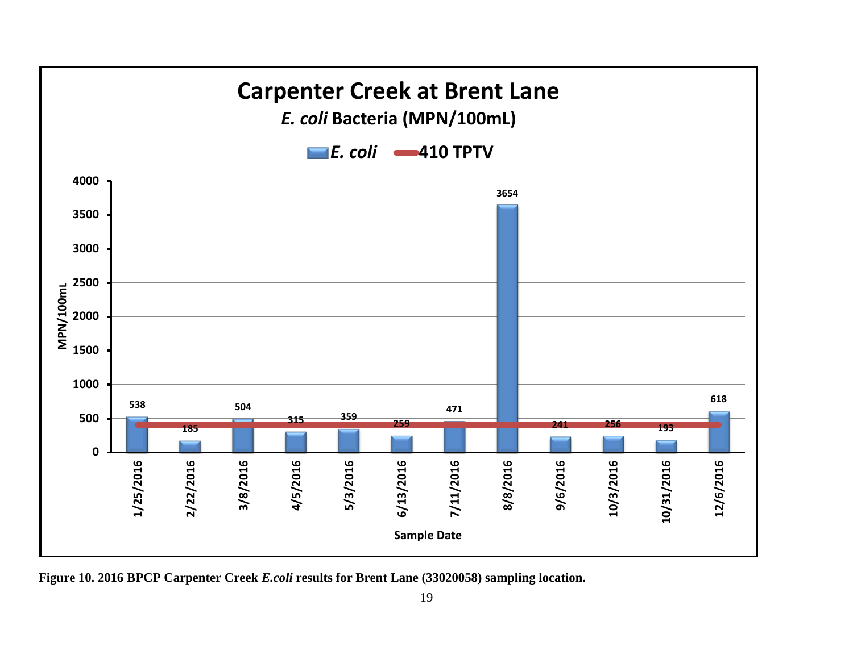

**Figure 10. 2016 BPCP Carpenter Creek** *E.coli* **results for Brent Lane (33020058) sampling location.**